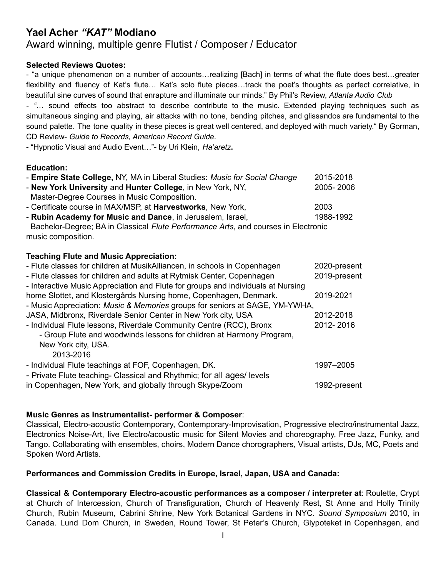# **Yael Acher** *"KAT"* **Modiano**

# Award winning, multiple genre Flutist / Composer / Educator

# **Selected Reviews Quotes:**

- "a unique phenomenon on a number of accounts…realizing [Bach] in terms of what the flute does best…greater flexibility and fluency of Kat's flute... Kat's solo flute pieces...track the poet's thoughts as perfect correlative, in beautiful sine curves of sound that enrapture and illuminate our minds." By Phil's Review, *Atlanta Audio Club - "*… sound effects too abstract to describe contribute to the music. Extended playing techniques such as simultaneous singing and playing, air attacks with no tone, bending pitches, and glissandos are fundamental to the sound palette. The tone quality in these pieces is great well centered, and deployed with much variety." By Gorman, CD Review- *Guide to Records, American Record Guide.*

- "Hypnotic Visual and Audio Event…"- by Uri Klein, *Ha'aretz***.**

### **Education:**

| - Empire State College, NY, MA in Liberal Studies: Music for Social Change                               | 2015-2018    |
|----------------------------------------------------------------------------------------------------------|--------------|
| - New York University and Hunter College, in New York, NY,                                               | 2005-2006    |
| Master-Degree Courses in Music Composition.                                                              |              |
| - Certificate course in MAX/MSP, at <b>Harvestworks</b> , New York,                                      | 2003         |
| - Rubin Academy for Music and Dance, in Jerusalem, Israel,                                               | 1988-1992    |
| Bachelor-Degree; BA in Classical Flute Performance Arts, and courses in Electronic<br>music composition. |              |
| <b>Teaching Flute and Music Appreciation:</b>                                                            |              |
| - Flute classes for children at MusikAlliancen, in schools in Copenhagen                                 | 2020-present |
| - Flute classes for children and adults at Rytmisk Center, Copenhagen                                    | 2019-present |
| - Interactive Music Appreciation and Flute for groups and individuals at Nursing                         |              |
| home Slottet, and Klostergårds Nursing home, Copenhagen, Denmark.                                        | 2019-2021    |
| - Music Appreciation: <i>Music &amp; Memories</i> groups for seniors at SAGE, YM-YWHA,                   |              |
| JASA, Midbronx, Riverdale Senior Center in New York city, USA                                            | 2012-2018    |
| - Individual Flute lessons, Riverdale Community Centre (RCC), Bronx                                      | 2012-2016    |
| - Group Flute and woodwinds lessons for children at Harmony Program,                                     |              |
| New York city, USA.                                                                                      |              |
| 2013-2016                                                                                                |              |
| - Individual Flute teachings at FOF, Copenhagen, DK.                                                     | 1997-2005    |
| - Private Flute teaching- Classical and Rhythmic; for all ages/levels                                    |              |
| in Copenhagen, New York, and globally through Skype/Zoom                                                 | 1992-present |

# **Music Genres as Instrumentalist- performer & Composer**:

Classical, Electro-acoustic Contemporary, Contemporary-Improvisation, Progressive electro/instrumental Jazz, Electronics Noise-Art, live Electro/acoustic music for Silent Movies and choreography, Free Jazz, Funky, and Tango. Collaborating with ensembles, choirs, Modern Dance chorographers, Visual artists, DJs, MC, Poets and Spoken Word Artists.

#### **Performances and Commission Credits in Europe, Israel, Japan, USA and Canada:**

**Classical & Contemporary Electro-acoustic performances as a composer / interpreter at**: Roulette, Crypt at Church of Intercession, Church of Transfiguration, Church of Heavenly Rest, St Anne and Holly Trinity Church, Rubin Museum, Cabrini Shrine, New York Botanical Gardens in NYC. *Sound Symposium* 2010, in Canada. Lund Dom Church, in Sweden, Round Tower, St Peter's Church, Glypoteket in Copenhagen, and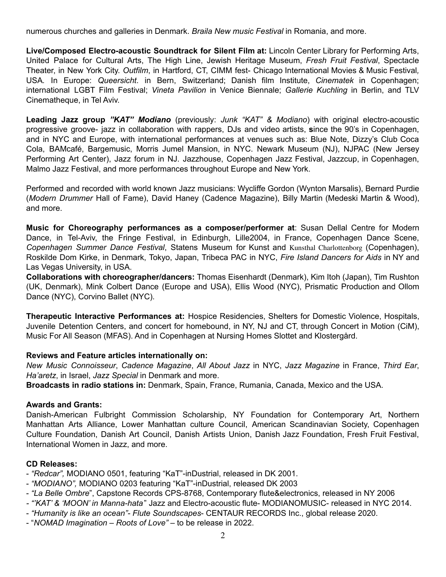numerous churches and galleries in Denmark. *Braila New music Festival* in Romania, and more.

**Live/Composed Electro-acoustic Soundtrack for Silent Film at:** Lincoln Center Library for Performing Arts, United Palace for Cultural Arts, The High Line, Jewish Heritage Museum, *Fresh Fruit Festival*, Spectacle Theater, in New York City. *Outfilm*, in Hartford, CT, CIMM fest- Chicago International Movies & Music Festival*,* USA*.* In Europe: *Queersicht*. in Bern, Switzerland; Danish film Institute, *Cinematek* in Copenhagen; international LGBT Film Festival; *Vineta Pavilion* in Venice Biennale; *Gallerie Kuchling* in Berlin, and TLV Cinematheque, in Tel Aviv.

**Leading Jazz group** *"KAT" Modiano* (previously: *Junk "KAT" & Modiano*) with original electro-acoustic progressive groove- jazz in collaboration with rappers, DJs and video artists, **s**ince the 90's in Copenhagen, and in NYC and Europe, with international performances at venues such as: Blue Note, Dizzy's Club Coca Cola, BAMcafé, Bargemusic, Morris Jumel Mansion, in NYC. Newark Museum (NJ), NJPAC (New Jersey Performing Art Center), Jazz forum in NJ. Jazzhouse, Copenhagen Jazz Festival, Jazzcup, in Copenhagen, Malmo Jazz Festival, and more performances throughout Europe and New York.

Performed and recorded with world known Jazz musicians: Wycliffe Gordon (Wynton Marsalis), Bernard Purdie (*Modern Drummer* Hall of Fame), David Haney (Cadence Magazine), Billy Martin (Medeski Martin & Wood), and more.

**Music for Choreography performances as a composer/performer at**: Susan Dellal Centre for Modern Dance, in Tel-Aviv, the Fringe Festival, in Edinburgh, Lille2004, in France, Copenhagen Dance Scene, *Copenhagen Summer Dance Festival*, Statens Museum for Kunst and Kunsthal Charlottenborg (Copenhagen), Roskilde Dom Kirke, in Denmark, Tokyo, Japan, Tribeca PAC in NYC, *Fire Island Dancers for Aids* in NY and Las Vegas University, in USA.

**Collaborations with choreographer/dancers:** Thomas Eisenhardt (Denmark), Kim Itoh (Japan), Tim Rushton (UK, Denmark), Mink Colbert Dance (Europe and USA), Ellis Wood (NYC), Prismatic Production and Ollom Dance (NYC), Corvino Ballet (NYC).

**Therapeutic Interactive Performances at:** Hospice Residencies, Shelters for Domestic Violence, Hospitals, Juvenile Detention Centers, and concert for homebound, in NY, NJ and CT, through Concert in Motion (CiM), Music For All Season (MFAS). And in Copenhagen at Nursing Homes Slottet and Klostergård.

#### **Reviews and Feature articles internationally on:**

*New Music Connoisseur*, *Cadence Magazine*, *All About Jazz* in NYC, *Jazz Magazine* in France, *Third Ear*, *Ha'aretz*, in Israel, *Jazz Special* in Denmark and more.

**Broadcasts in radio stations in:** Denmark, Spain, France, Rumania, Canada, Mexico and the USA.

#### **Awards and Grants:**

Danish-American Fulbright Commission Scholarship, NY Foundation for Contemporary Art, Northern Manhattan Arts Alliance, Lower Manhattan culture Council, American Scandinavian Society, Copenhagen Culture Foundation, Danish Art Council, Danish Artists Union, Danish Jazz Foundation, Fresh Fruit Festival, International Women in Jazz, and more.

#### **CD Releases:**

- *"Redcar",* MODIANO 0501, featuring "KaT"-inDustrial, released in DK 2001.
- *"MODIANO",* MODIANO 0203 featuring "KaT"-inDustrial, released DK 2003
- *"La Belle Ombre*", Capstone Records CPS-8768, Contemporary flute&electronics, released in NY 2006
- *- "'KAT' & 'MOON' in Manna-hata*" Jazz and Electro-acoustic flute- MODIANOMUSIC- released in NYC 2014.
- *"Humanity is like an ocean"- Flute Soundscapes* CENTAUR RECORDS Inc., global release 2020.
- "*NOMAD Imagination – Roots of Love"* to be release in 2022.